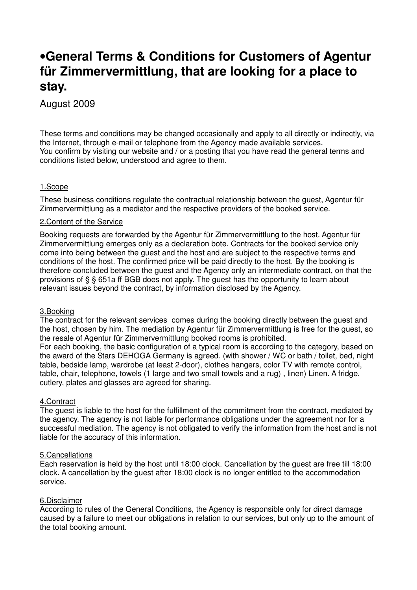# •**General Terms & Conditions for Customers of Agentur für Zimmervermittlung, that are looking for a place to stay.**

August 2009

These terms and conditions may be changed occasionally and apply to all directly or indirectly, via the Internet, through e-mail or telephone from the Agency made available services. You confirm by visiting our website and / or a posting that you have read the general terms and conditions listed below, understood and agree to them.

# 1.Scope

These business conditions regulate the contractual relationship between the guest, Agentur für Zimmervermittlung as a mediator and the respective providers of the booked service.

#### 2.Content of the Service

Booking requests are forwarded by the Agentur für Zimmervermittlung to the host. Agentur für Zimmervermittlung emerges only as a declaration bote. Contracts for the booked service only come into being between the guest and the host and are subject to the respective terms and conditions of the host. The confirmed price will be paid directly to the host. By the booking is therefore concluded between the guest and the Agency only an intermediate contract, on that the provisions of § § 651a ff BGB does not apply. The guest has the opportunity to learn about relevant issues beyond the contract, by information disclosed by the Agency.

# 3.Booking

The contract for the relevant services comes during the booking directly between the guest and the host, chosen by him. The mediation by Agentur für Zimmervermittlung is free for the guest, so the resale of Agentur für Zimmervermittlung booked rooms is prohibited.

For each booking, the basic configuration of a typical room is according to the category, based on the award of the Stars DEHOGA Germany is agreed. (with shower / WC or bath / toilet, bed, night table, bedside lamp, wardrobe (at least 2-door), clothes hangers, color TV with remote control, table, chair, telephone, towels (1 large and two small towels and a rug) , linen) Linen. A fridge, cutlery, plates and glasses are agreed for sharing.

#### 4.Contract

The guest is liable to the host for the fulfillment of the commitment from the contract, mediated by the agency. The agency is not liable for performance obligations under the agreement nor for a successful mediation. The agency is not obligated to verify the information from the host and is not liable for the accuracy of this information.

#### 5.Cancellations

Each reservation is held by the host until 18:00 clock. Cancellation by the guest are free till 18:00 clock. A cancellation by the guest after 18:00 clock is no longer entitled to the accommodation service.

#### 6.Disclaimer

According to rules of the General Conditions, the Agency is responsible only for direct damage caused by a failure to meet our obligations in relation to our services, but only up to the amount of the total booking amount.